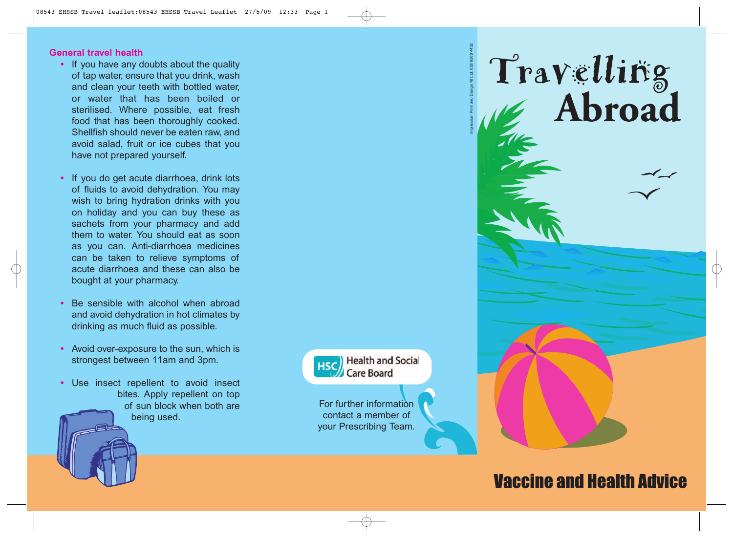#### **General travel health**

- **•** If you have any doubts about the quality of tap water, ensure that you drink, wash and clean your teeth with bottled water, or water that has been boiled or sterilised. Where possible, eat fresh food that has been thoroughly cooked. Shellfish should never be eaten raw, and avoid salad, fruit or ice cubes that you have not prepared yourself.
- **•** If you do get acute diarrhoea, drink lots of fluids to avoid dehydration. You may wish to bring hydration drinks with you on holiday and you can buy these as sachets from your pharmacy and add them to water. You should eat as soon as you can. Anti-diarrhoea medicines can be taken to relieve symptoms of acute diarrhoea and these can also be bought at your pharmacy.
- **•** Be sensible with alcohol when abroad and avoid dehydration in hot climates by drinking as much fluid as possible.
- **•** Avoid over-exposure to the sun, which is strongest between 11am and 3pm.
- **•** Use insect repellent to avoid insect bites. Apply repellent on top of sun block when both are being used.

Impression Print and Design NI Ltd. 028 9260 4432

**Health and Social HSC** Care Board

For further information contact a member of your Prescribing Team.

# **Vaccine and Health Advice**

Travelling<br>Abroad